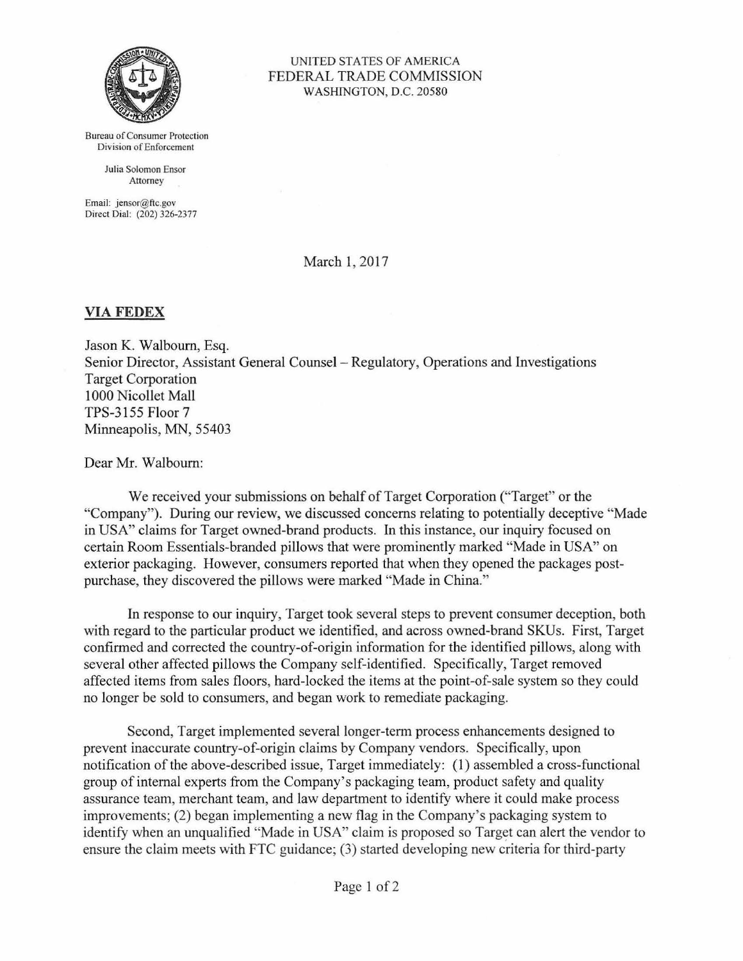

UNITED STATES OF AMERJCA FEDERAL TRADE COMMISSION WASHINGTON, D.C. 20580

Bureau of Consumer Protection Division of Enforcement

> Julia Solomon Ensor Attorney

Email: jensor@ftc.gov Direct Dial: (202) 326-2377

March I, 2017

## **VIAFEDEX**

Jason K. Walbourn, Esq. Senior Director, Assistant General Counsel - Regulatory, Operations and Investigations Target Corporation 1000 Nicollet Mall TPS-3155 Floor 7 Minneapolis, MN, 55403

Dear Mr. Walbourn:

We received your submissions on behalf of Target Corporation ("Target" or the "Company"). During our review, we discussed concerns relating to potentially deceptive "Made in USA" claims for Target owned-brand products. In this instance, our inquiry focused on certain Room Essentials-branded pillows that were prominently marked "Made in USA" on exterior packaging. However, consumers reported that when they opened the packages postpurchase, they discovered the pillows were marked "Made in China."

In response to our inquiry, Target took several steps to prevent consumer deception, both with regard to the particular product we identified, and across owned-brand SKUs. First, Target confirmed and corrected the country-of-origin information for the identified pillows, along with several other affected pillows the Company self-identified. Specifically, Target removed affected items from sales floors, hard-locked the items at the point-of-sale system so they could no longer be sold to consumers, and began work to remediate packaging.

Second, Target implemented several longer-term process enhancements designed to prevent inaccurate country-of-origin claims by Company vendors. Specifically, upon notification of the above-described issue, Target immediately: (1) assembled a cross-functional group of internal experts from the Company's packaging team, product safety and quality assurance team, merchant team, and law department to identify where it could make process improvements; (2) began implementing a new flag in the Company's packaging system to identify when an unqualified "Made in USA" claim is proposed so Target can alert the vendor to ensure the claim meets with FTC guidance; (3) started developing new criteria for third-party